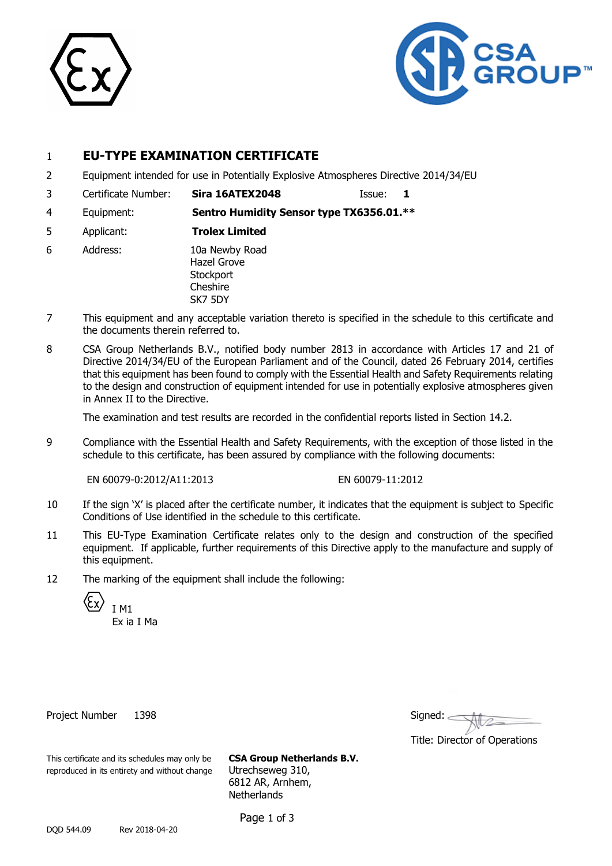



### 1 **EU-TYPE EXAMINATION CERTIFICATE**

- 2 Equipment intended for use in Potentially Explosive Atmospheres Directive 2014/34/EU
- 3 Certificate Number: **Sira 16ATEX2048** Issue: **1**
- 4 Equipment: **Sentro Humidity Sensor type TX6356.01.\*\***
- 5 Applicant: **Trolex Limited**
- 6 Address: 10a Newby Road Hazel Grove **Stockport Cheshire** SK7 5DY
- 7 This equipment and any acceptable variation thereto is specified in the schedule to this certificate and the documents therein referred to.
- 8 CSA Group Netherlands B.V., notified body number 2813 in accordance with Articles 17 and 21 of Directive 2014/34/EU of the European Parliament and of the Council, dated 26 February 2014, certifies that this equipment has been found to comply with the Essential Health and Safety Requirements relating to the design and construction of equipment intended for use in potentially explosive atmospheres given in Annex II to the Directive.

The examination and test results are recorded in the confidential reports listed in Section 14.2.

9 Compliance with the Essential Health and Safety Requirements, with the exception of those listed in the schedule to this certificate, has been assured by compliance with the following documents:

EN 60079-0:2012/A11:2013 EN 60079-11:2012

- 10 If the sign 'X' is placed after the certificate number, it indicates that the equipment is subject to Specific Conditions of Use identified in the schedule to this certificate.
- 11 This EU-Type Examination Certificate relates only to the design and construction of the specified equipment. If applicable, further requirements of this Directive apply to the manufacture and supply of this equipment.
- 12 The marking of the equipment shall include the following:

I M1

Ex ia I Ma

Project Number 1398

| Signed: |  |
|---------|--|
|         |  |

Title: Director of Operations

This certificate and its schedules may only be **CSA Group Netherlands B.V.** reproduced in its entirety and without change Utrechseweg 310,

6812 AR, Arnhem, **Netherlands** 

Page 1 of 3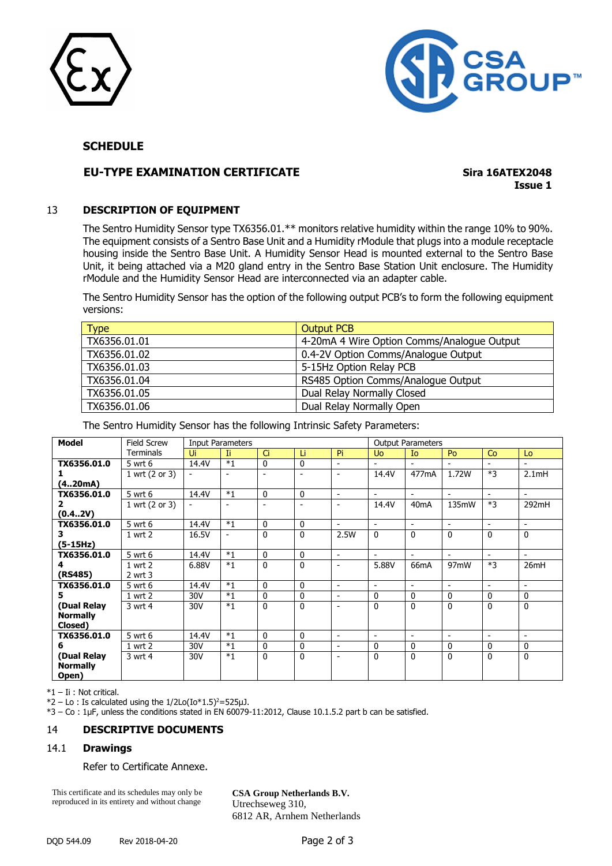



#### **SCHEDULE**

#### **EU-TYPE EXAMINATION CERTIFICATE**

**Sira 16ATEX2048 Issue 1** 

#### 13 DESCRIPTION OF EQUIPMENT

The Sentro Humidity Sensor type TX6356.01.\*\* monitors relative humidity within the range 10% to 90%. The equipment consists of a Sentro Base Unit and a Humidity rModule that plugs into a module receptacle housing inside the Sentro Base Unit. A Humidity Sensor Head is mounted external to the Sentro Base Unit, it being attached via a M20 gland entry in the Sentro Base Station Unit enclosure. The Humidity rModule and the Humidity Sensor Head are interconnected via an adapter cable.

The Sentro Humidity Sensor has the option of the following output PCB's to form the following equipment versions:

| <b>Type</b>  | <b>Output PCB</b>                          |
|--------------|--------------------------------------------|
| TX6356.01.01 | 4-20mA 4 Wire Option Comms/Analogue Output |
| TX6356.01.02 | 0.4-2V Option Comms/Analogue Output        |
| TX6356.01.03 | 5-15Hz Option Relay PCB                    |
| TX6356.01.04 | RS485 Option Comms/Analogue Output         |
| TX6356.01.05 | Dual Relay Normally Closed                 |
| TX6356.01.06 | Dual Relay Normally Open                   |

The Sentro Humidity Sensor has the following Intrinsic Safety Parameters:

| <b>Model</b>    | <b>Field Screw</b> | <b>Input Parameters</b>  |                              |                |                |                          | <b>Output Parameters</b> |                          |                          |                          |                          |
|-----------------|--------------------|--------------------------|------------------------------|----------------|----------------|--------------------------|--------------------------|--------------------------|--------------------------|--------------------------|--------------------------|
|                 | Terminals          | Ui                       | -Ti                          | Ci             | Li             | Pi                       | <b>Uo</b>                | I <sub>o</sub>           | Po                       | Co                       | Lo                       |
| TX6356.01.0     | 5 wrt 6            | 14.4V                    | $*1$                         | 0              | 0              | $\overline{\phantom{0}}$ | $\blacksquare$           | $\overline{\phantom{0}}$ | $\overline{\phantom{0}}$ | $\overline{\phantom{a}}$ | $\blacksquare$           |
|                 | 1 wrt (2 or 3)     | -                        | ٠                            | $\blacksquare$ | $\blacksquare$ | $\overline{\phantom{a}}$ | 14.4V                    | 477mA                    | 1.72W                    | $*3$                     | 2.1mH                    |
| (420mA)         |                    |                          |                              |                |                |                          |                          |                          |                          |                          |                          |
| TX6356.01.0     | 5 wrt 6            | 14.4V                    | $*1$                         | 0              | 0              | $\overline{\phantom{a}}$ | $\overline{\phantom{0}}$ | $\sim$                   | $\blacksquare$           | $\blacksquare$           | $\overline{\phantom{0}}$ |
| 2               | 1 wrt (2 or 3)     | $\overline{\phantom{a}}$ |                              | $\blacksquare$ | $\blacksquare$ | $\blacksquare$           | 14.4V                    | 40 <sub>m</sub> A        | 135mW                    | $*3$                     | 292mH                    |
| (0.42V)         |                    |                          |                              |                |                |                          |                          |                          |                          |                          |                          |
| TX6356.01.0     | 5 wrt 6            | 14.4V                    | $*1$                         | $\mathbf{0}$   | $\mathbf{0}$   | $\blacksquare$           | $\blacksquare$           | $\blacksquare$           | $\blacksquare$           | $\blacksquare$           | $\blacksquare$           |
| З.              | 1 wrt 2            | 16.5V                    | $\qquad \qquad \blacksquare$ | $\Omega$       | $\mathbf{0}$   | 2.5W                     | $\Omega$                 | $\Omega$                 | $\Omega$                 | $\mathbf{0}$             | $\mathbf{0}$             |
| $(5-15Hz)$      |                    |                          |                              |                |                |                          |                          |                          |                          |                          |                          |
| TX6356.01.0     | 5 wrt 6            | 14.4V                    | $*1$                         | $\mathbf{0}$   | $\Omega$       | $\overline{\phantom{0}}$ | $\blacksquare$           | $\blacksquare$           | $\blacksquare$           | $\overline{\phantom{a}}$ | $\blacksquare$           |
|                 | $1$ wrt $2$        | 6.88V                    | $*1$                         | $\mathbf{0}$   | $\mathbf{0}$   | $\overline{\phantom{a}}$ | 5.88V                    | 66mA                     | 97mW                     | $*3$                     | 26mH                     |
| (RS485)         | $2$ wrt $3$        |                          |                              |                |                |                          |                          |                          |                          |                          |                          |
| TX6356.01.0     | 5 wrt 6            | 14.4V                    | $*1$                         | 0              | 0              | $\blacksquare$           | $\overline{\phantom{a}}$ | $\blacksquare$           | $\blacksquare$           | $\sim$                   | $\blacksquare$           |
| 5.              | 1 wrt 2            | 30V                      | $*_{1}$                      | $\mathbf{0}$   | $\mathbf{0}$   | $\blacksquare$           | $\mathbf{0}$             | $\mathbf{0}$             | $\mathbf{0}$             | $\mathbf{0}$             | $\mathbf{0}$             |
| (Dual Relay     | 3 wrt 4            | 30V                      | $*1$                         | $\Omega$       | $\mathbf{0}$   | $\overline{\phantom{0}}$ | $\Omega$                 | $\Omega$                 | 0                        | $\mathbf{0}$             | $\mathbf{0}$             |
| <b>Normally</b> |                    |                          |                              |                |                |                          |                          |                          |                          |                          |                          |
| Closed)         |                    |                          |                              |                |                |                          |                          |                          |                          |                          |                          |
| TX6356.01.0     | 5 wrt 6            | 14.4V                    | $*1$                         | $\mathbf{0}$   | $\mathbf{0}$   | $\blacksquare$           | $\overline{\phantom{a}}$ | $\overline{\phantom{a}}$ | $\overline{\phantom{a}}$ | $\overline{\phantom{a}}$ | $\sim$                   |
| 6               | 1 wrt 2            | 30V                      | $*1$                         | $\mathbf{0}$   | $\Omega$       | $\overline{\phantom{a}}$ | $\mathbf{0}$             | $\mathbf{0}$             | 0                        | $\mathbf{0}$             | $\mathbf{0}$             |
| (Dual Relay     | 3 wrt 4            | 30V                      | $*_{1}$                      | $\Omega$       | $\mathbf{0}$   | $\overline{\phantom{a}}$ | $\mathbf{0}$             | $\mathbf{0}$             | 0                        | $\mathbf{0}$             | $\mathbf{0}$             |
| <b>Normally</b> |                    |                          |                              |                |                |                          |                          |                          |                          |                          |                          |
| Open)           |                    |                          |                              |                |                |                          |                          |                          |                          |                          |                          |

\*1 - Ii : Not critical.

 $*2 - Lo$ : Is calculated using the 1/2Lo(Io $*1.5$ )<sup>2</sup>=525µJ.

\*3 - Co : 1µF, unless the conditions stated in EN 60079-11:2012, Clause 10.1.5.2 part b can be satisfied.

#### 14 **DESCRIPTIVE DOCUMENTS**

#### 14.1 **Drawings**

Refer to Certificate Annexe.

This certificate and its schedules may only be reproduced in its entirety and without change

CSA Group Netherlands B.V. Utrechseweg 310, 6812 AR, Arnhem Netherlands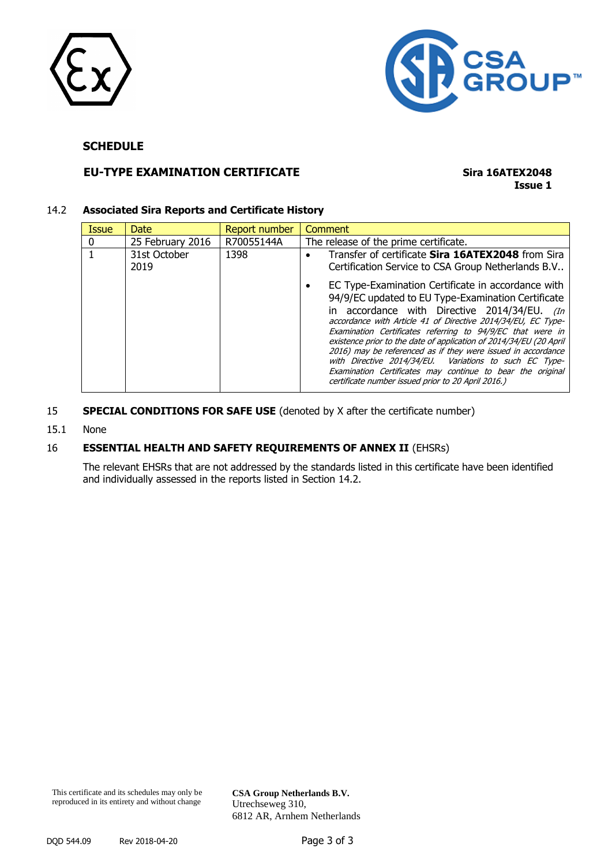



### **SCHEDULE**

### **EU-TYPE EXAMINATION CERTIFICATE Sira 16ATEX2048**

# **Issue 1**

#### 14.2 **Associated Sira Reports and Certificate History**

| Issue | Date                 | Report number | Comment                                                                                                                                                                                                                                                                                                                                                                                                                                                                                                                                                                                                    |
|-------|----------------------|---------------|------------------------------------------------------------------------------------------------------------------------------------------------------------------------------------------------------------------------------------------------------------------------------------------------------------------------------------------------------------------------------------------------------------------------------------------------------------------------------------------------------------------------------------------------------------------------------------------------------------|
| 0     | 25 February 2016     | R70055144A    | The release of the prime certificate.                                                                                                                                                                                                                                                                                                                                                                                                                                                                                                                                                                      |
|       | 31st October<br>2019 | 1398          | Transfer of certificate Sira 16ATEX2048 from Sira<br>$\bullet$<br>Certification Service to CSA Group Netherlands B.V                                                                                                                                                                                                                                                                                                                                                                                                                                                                                       |
|       |                      |               | EC Type-Examination Certificate in accordance with<br>94/9/EC updated to EU Type-Examination Certificate<br>in accordance with Directive 2014/34/EU. (In<br>accordance with Article 41 of Directive 2014/34/EU, EC Type-<br>Examination Certificates referring to 94/9/EC that were in<br>existence prior to the date of application of 2014/34/EU (20 April<br>2016) may be referenced as if they were issued in accordance<br>with Directive 2014/34/EU. Variations to such EC Type-<br>Examination Certificates may continue to bear the original<br>certificate number issued prior to 20 April 2016.) |

#### 15 **SPECIAL CONDITIONS FOR SAFE USE** (denoted by X after the certificate number)

15.1 None

#### 16 **ESSENTIAL HEALTH AND SAFETY REQUIREMENTS OF ANNEX II** (EHSRs)

The relevant EHSRs that are not addressed by the standards listed in this certificate have been identified and individually assessed in the reports listed in Section 14.2.

**CSA Group Netherlands B.V.** Utrechseweg 310, 6812 AR, Arnhem Netherlands